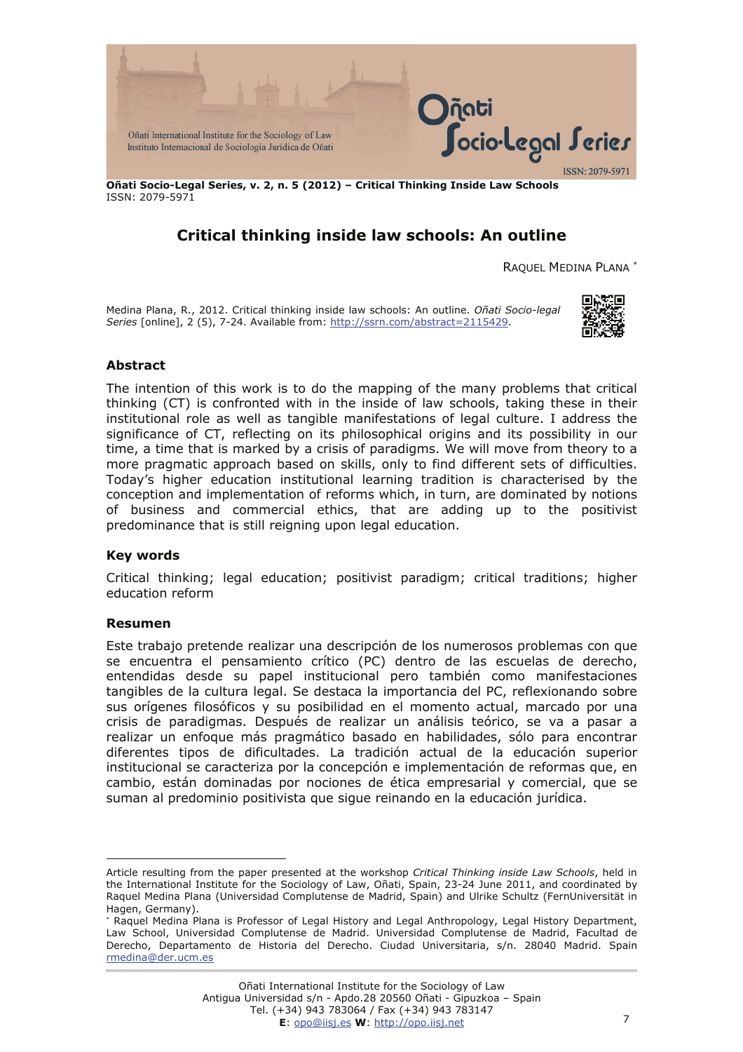

**Oñati Socio-Legal Series, v. 2, n. 5 (2012) – Critical Thinking Inside Law Schools**  ISSN: 2079-5971

# **Critical thinking inside law schools: An outline**

RAQUEL MEDINA PLANA [∗](#page-0-0)

Medina Plana, R., 2012. Critical thinking inside law schools: An outline. *Oñati Socio-legal Series* [online], 2 (5), 7-24. Available from: [http://ssrn.com/abstract=2115429.](http://ssrn.com/abstract=2115429)



## **Abstract**

The intention of this work is to do the mapping of the many problems that critical thinking (CT) is confronted with in the inside of law schools, taking these in their institutional role as well as tangible manifestations of legal culture. I address the significance of CT, reflecting on its philosophical origins and its possibility in our time, a time that is marked by a crisis of paradigms. We will move from theory to a more pragmatic approach based on skills, only to find different sets of difficulties. Today's higher education institutional learning tradition is characterised by the conception and implementation of reforms which, in turn, are dominated by notions of business and commercial ethics, that are adding up to the positivist predominance that is still reigning upon legal education.

#### **Key words**

Critical thinking; legal education; positivist paradigm; critical traditions; higher education reform

#### **Resumen**

 $\overline{a}$ 

Este trabajo pretende realizar una descripción de los numerosos problemas con que se encuentra el pensamiento crítico (PC) dentro de las escuelas de derecho, entendidas desde su papel institucional pero también como manifestaciones tangibles de la cultura legal. Se destaca la importancia del PC, reflexionando sobre sus orígenes filosóficos y su posibilidad en el momento actual, marcado por una crisis de paradigmas. Después de realizar un análisis teórico, se va a pasar a realizar un enfoque más pragmático basado en habilidades, sólo para encontrar diferentes tipos de dificultades. La tradición actual de la educación superior institucional se caracteriza por la concepción e implementación de reformas que, en cambio, están dominadas por nociones de ética empresarial y comercial, que se suman al predominio positivista que sigue reinando en la educación jurídica.

<span id="page-0-0"></span>Article resulting from the paper presented at the workshop *Critical Thinking inside Law Schools*, held in the International Institute for the Sociology of Law, Oñati, Spain, 23-24 June 2011, and coordinated by Raquel Medina Plana (Universidad Complutense de Madrid, Spain) and Ulrike Schultz (FernUniversität in Hagen, Germany).

<sup>∗</sup> Raquel Medina Plana is Professor of Legal History and Legal Anthropology, Legal History Department, Law School, Universidad Complutense de Madrid. Universidad Complutense de Madrid, Facultad de Derecho, Departamento de Historia del Derecho. Ciudad Universitaria, s/n. 28040 Madrid. Spain [rmedina@der.ucm.es](mailto:rmedina@der.ucm.es)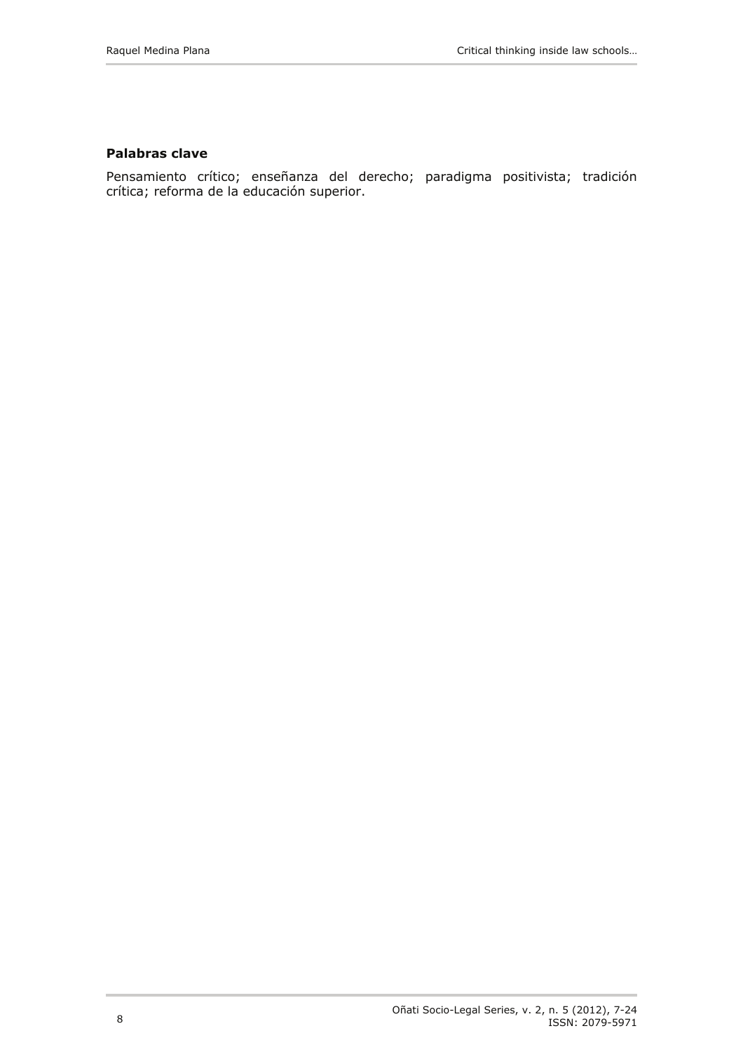## **Palabras clave**

Pensamiento crítico; enseñanza del derecho; paradigma positivista; tradición crítica; reforma de la educación superior.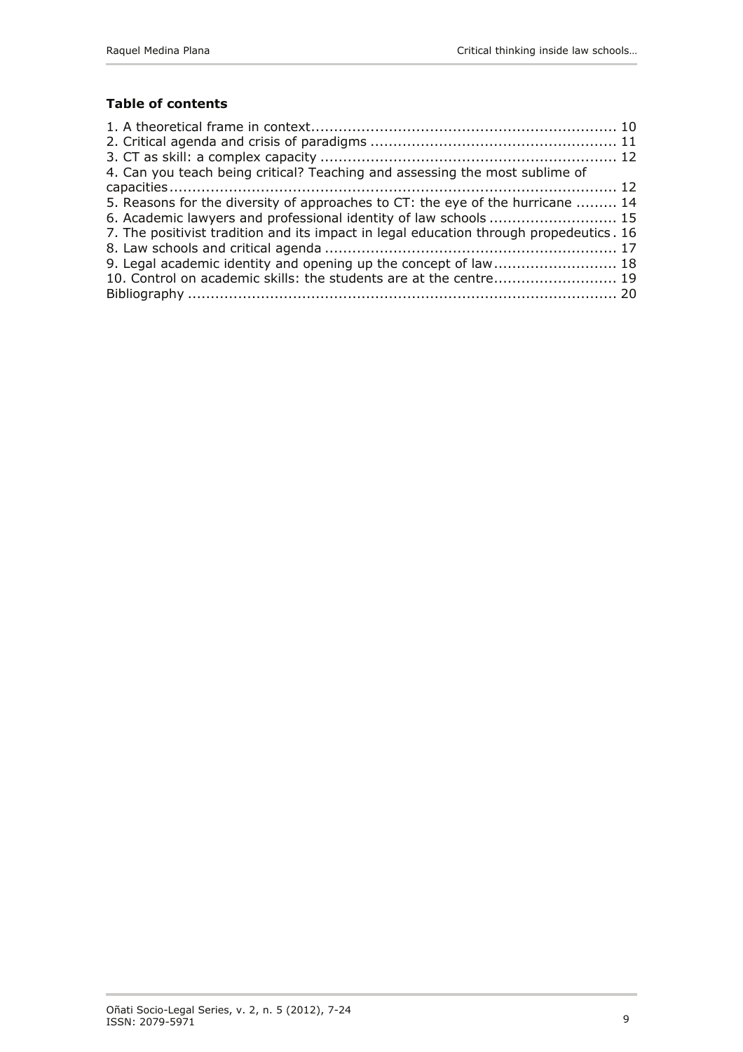# **Table of contents**

| 4. Can you teach being critical? Teaching and assessing the most sublime of             |  |
|-----------------------------------------------------------------------------------------|--|
|                                                                                         |  |
| 5. Reasons for the diversity of approaches to CT: the eye of the hurricane  14          |  |
| 6. Academic lawyers and professional identity of law schools  15                        |  |
| 7. The positivist tradition and its impact in legal education through propedeutics . 16 |  |
|                                                                                         |  |
| 9. Legal academic identity and opening up the concept of law 18                         |  |
| 10. Control on academic skills: the students are at the centre 19                       |  |
|                                                                                         |  |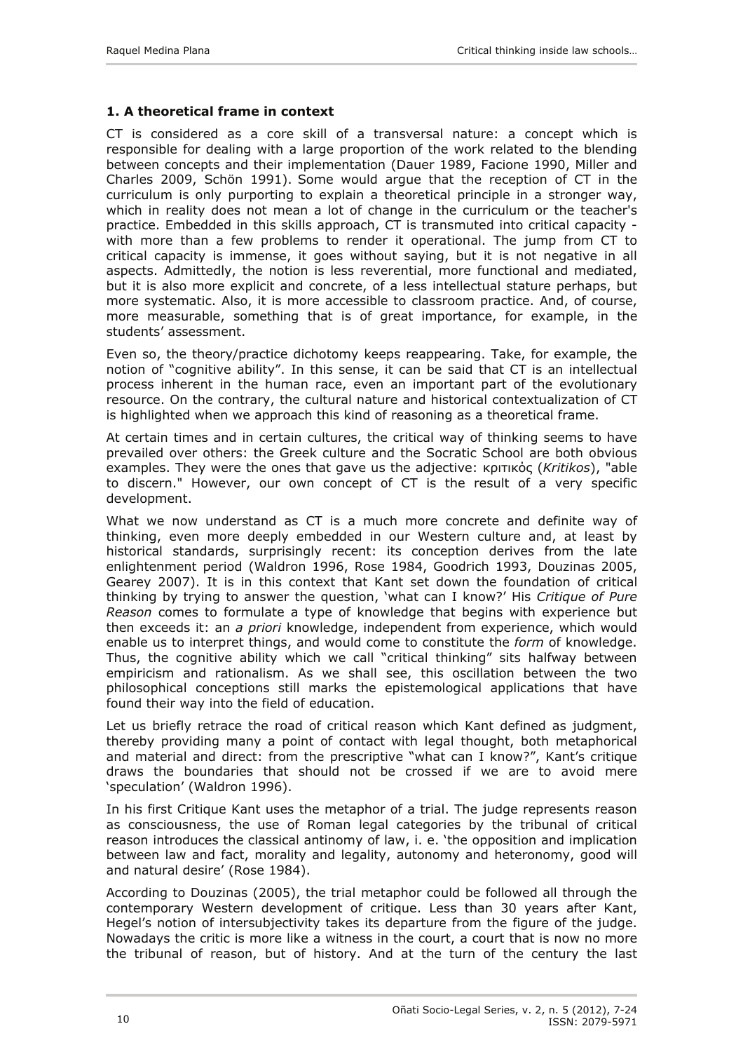## <span id="page-3-0"></span>**1. A theoretical frame in context**

CT is considered as a core skill of a transversal nature: a concept which is responsible for dealing with a large proportion of the work related to the blending between concepts and their implementation (Dauer 1989, Facione 1990, Miller and Charles 2009, Schön 1991). Some would argue that the reception of CT in the curriculum is only purporting to explain a theoretical principle in a stronger way, which in reality does not mean a lot of change in the curriculum or the teacher's practice. Embedded in this skills approach, CT is transmuted into critical capacity with more than a few problems to render it operational. The jump from CT to critical capacity is immense, it goes without saying, but it is not negative in all aspects. Admittedly, the notion is less reverential, more functional and mediated, but it is also more explicit and concrete, of a less intellectual stature perhaps, but more systematic. Also, it is more accessible to classroom practice. And, of course, more measurable, something that is of great importance, for example, in the students' assessment.

Even so, the theory/practice dichotomy keeps reappearing. Take, for example, the notion of "cognitive ability". In this sense, it can be said that CT is an intellectual process inherent in the human race, even an important part of the evolutionary resource. On the contrary, the cultural nature and historical contextualization of CT is highlighted when we approach this kind of reasoning as a theoretical frame.

At certain times and in certain cultures, the critical way of thinking seems to have prevailed over others: the Greek culture and the Socratic School are both obvious examples. They were the ones that gave us the adjective: κριτικός (*Kritikos*), "able to discern." However, our own concept of CT is the result of a very specific development.

What we now understand as CT is a much more concrete and definite way of thinking, even more deeply embedded in our Western culture and, at least by historical standards, surprisingly recent: its conception derives from the late enlightenment period (Waldron 1996, Rose 1984, Goodrich 1993, Douzinas 2005, Gearey 2007). It is in this context that Kant set down the foundation of critical thinking by trying to answer the question, 'what can I know?' His *Critique of Pure Reason* comes to formulate a type of knowledge that begins with experience but then exceeds it: an *a priori* knowledge, independent from experience, which would enable us to interpret things, and would come to constitute the *form* of knowledge. Thus, the cognitive ability which we call "critical thinking" sits halfway between empiricism and rationalism. As we shall see, this oscillation between the two philosophical conceptions still marks the epistemological applications that have found their way into the field of education.

Let us briefly retrace the road of critical reason which Kant defined as judgment, thereby providing many a point of contact with legal thought, both metaphorical and material and direct: from the prescriptive "what can I know?", Kant's critique draws the boundaries that should not be crossed if we are to avoid mere 'speculation' (Waldron 1996).

In his first Critique Kant uses the metaphor of a trial. The judge represents reason as consciousness, the use of Roman legal categories by the tribunal of critical reason introduces the classical antinomy of law, i. e. 'the opposition and implication between law and fact, morality and legality, autonomy and heteronomy, good will and natural desire' (Rose 1984).

According to Douzinas (2005), the trial metaphor could be followed all through the contemporary Western development of critique. Less than 30 years after Kant, Hegel's notion of intersubjectivity takes its departure from the figure of the judge. Nowadays the critic is more like a witness in the court, a court that is now no more the tribunal of reason, but of history. And at the turn of the century the last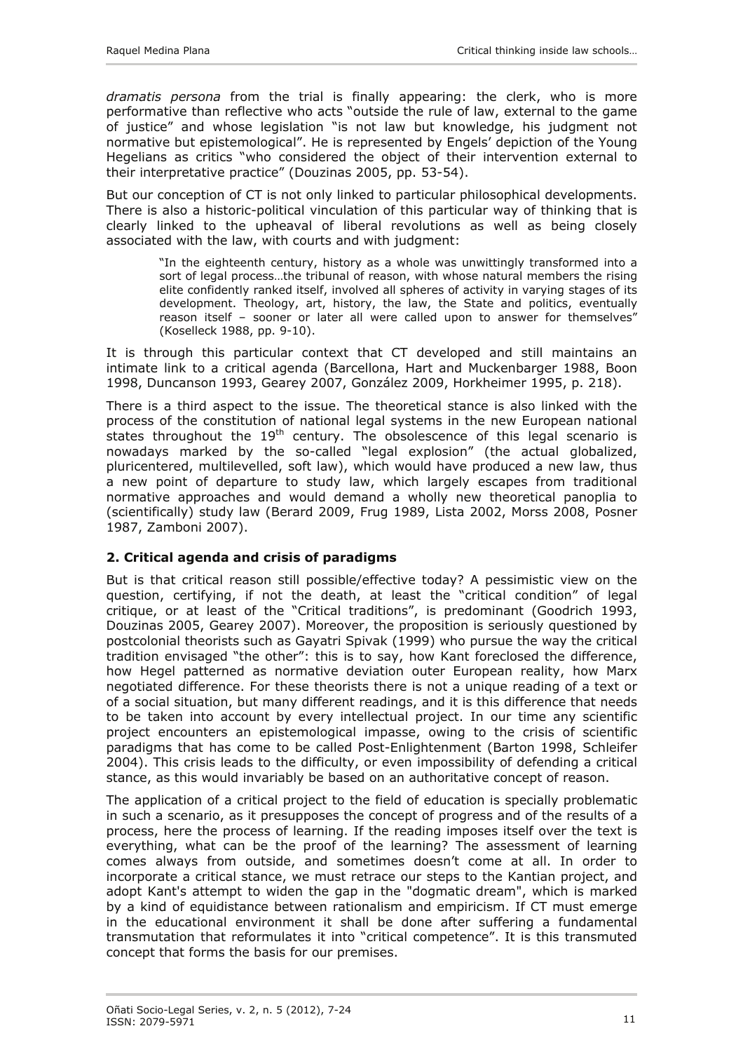<span id="page-4-0"></span>*dramatis persona* from the trial is finally appearing: the clerk, who is more performative than reflective who acts "outside the rule of law, external to the game of justice" and whose legislation "is not law but knowledge, his judgment not normative but epistemological". He is represented by Engels' depiction of the Young Hegelians as critics "who considered the object of their intervention external to their interpretative practice" (Douzinas 2005, pp. 53-54).

But our conception of CT is not only linked to particular philosophical developments. There is also a historic-political vinculation of this particular way of thinking that is clearly linked to the upheaval of liberal revolutions as well as being closely associated with the law, with courts and with judgment:

"In the eighteenth century, history as a whole was unwittingly transformed into a sort of legal process…the tribunal of reason, with whose natural members the rising elite confidently ranked itself, involved all spheres of activity in varying stages of its development. Theology, art, history, the law, the State and politics, eventually reason itself – sooner or later all were called upon to answer for themselves" (Koselleck 1988, pp. 9-10).

It is through this particular context that CT developed and still maintains an intimate link to a critical agenda (Barcellona, Hart and Muckenbarger 1988, Boon 1998, Duncanson 1993, Gearey 2007, González 2009, Horkheimer 1995, p. 218).

There is a third aspect to the issue. The theoretical stance is also linked with the process of the constitution of national legal systems in the new European national states throughout the  $19<sup>th</sup>$  century. The obsolescence of this legal scenario is nowadays marked by the so-called "legal explosion" (the actual globalized, pluricentered, multilevelled, soft law), which would have produced a new law, thus a new point of departure to study law, which largely escapes from traditional normative approaches and would demand a wholly new theoretical panoplia to (scientifically) study law (Berard 2009, Frug 1989, Lista 2002, Morss 2008, Posner 1987, Zamboni 2007).

## **2. Critical agenda and crisis of paradigms**

But is that critical reason still possible/effective today? A pessimistic view on the question, certifying, if not the death, at least the "critical condition" of legal critique, or at least of the "Critical traditions", is predominant (Goodrich 1993, Douzinas 2005, Gearey 2007). Moreover, the proposition is seriously questioned by postcolonial theorists such as Gayatri Spivak (1999) who pursue the way the critical tradition envisaged "the other": this is to say, how Kant foreclosed the difference, how Hegel patterned as normative deviation outer European reality, how Marx negotiated difference. For these theorists there is not a unique reading of a text or of a social situation, but many different readings, and it is this difference that needs to be taken into account by every intellectual project. In our time any scientific project encounters an epistemological impasse, owing to the crisis of scientific paradigms that has come to be called Post-Enlightenment (Barton 1998, Schleifer 2004). This crisis leads to the difficulty, or even impossibility of defending a critical stance, as this would invariably be based on an authoritative concept of reason.

The application of a critical project to the field of education is specially problematic in such a scenario, as it presupposes the concept of progress and of the results of a process, here the process of learning. If the reading imposes itself over the text is everything, what can be the proof of the learning? The assessment of learning comes always from outside, and sometimes doesn't come at all. In order to incorporate a critical stance, we must retrace our steps to the Kantian project, and adopt Kant's attempt to widen the gap in the "dogmatic dream", which is marked by a kind of equidistance between rationalism and empiricism. If CT must emerge in the educational environment it shall be done after suffering a fundamental transmutation that reformulates it into "critical competence". It is this transmuted concept that forms the basis for our premises.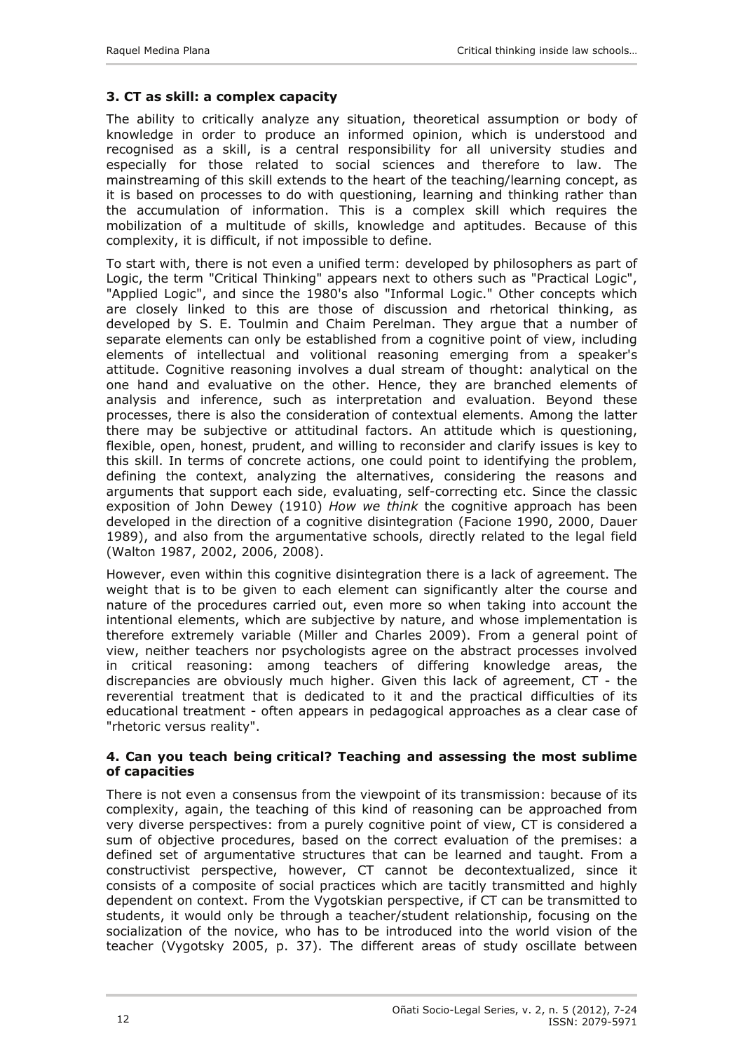# <span id="page-5-0"></span>**3. CT as skill: a complex capacity**

The ability to critically analyze any situation, theoretical assumption or body of knowledge in order to produce an informed opinion, which is understood and recognised as a skill, is a central responsibility for all university studies and especially for those related to social sciences and therefore to law. The mainstreaming of this skill extends to the heart of the teaching/learning concept, as it is based on processes to do with questioning, learning and thinking rather than the accumulation of information. This is a complex skill which requires the mobilization of a multitude of skills, knowledge and aptitudes. Because of this complexity, it is difficult, if not impossible to define.

To start with, there is not even a unified term: developed by philosophers as part of Logic, the term "Critical Thinking" appears next to others such as "Practical Logic", "Applied Logic", and since the 1980's also "Informal Logic." Other concepts which are closely linked to this are those of discussion and rhetorical thinking, as developed by S. E. Toulmin and Chaim Perelman. They argue that a number of separate elements can only be established from a cognitive point of view, including elements of intellectual and volitional reasoning emerging from a speaker's attitude. Cognitive reasoning involves a dual stream of thought: analytical on the one hand and evaluative on the other. Hence, they are branched elements of analysis and inference, such as interpretation and evaluation. Beyond these processes, there is also the consideration of contextual elements. Among the latter there may be subjective or attitudinal factors. An attitude which is questioning, flexible, open, honest, prudent, and willing to reconsider and clarify issues is key to this skill. In terms of concrete actions, one could point to identifying the problem, defining the context, analyzing the alternatives, considering the reasons and arguments that support each side, evaluating, self-correcting etc. Since the classic exposition of John Dewey (1910) *How we think* the cognitive approach has been developed in the direction of a cognitive disintegration (Facione 1990, 2000, Dauer 1989), and also from the argumentative schools, directly related to the legal field (Walton 1987, 2002, 2006, 2008).

However, even within this cognitive disintegration there is a lack of agreement. The weight that is to be given to each element can significantly alter the course and nature of the procedures carried out, even more so when taking into account the intentional elements, which are subjective by nature, and whose implementation is therefore extremely variable (Miller and Charles 2009). From a general point of view, neither teachers nor psychologists agree on the abstract processes involved in critical reasoning: among teachers of differing knowledge areas, the discrepancies are obviously much higher. Given this lack of agreement, CT - the reverential treatment that is dedicated to it and the practical difficulties of its educational treatment - often appears in pedagogical approaches as a clear case of "rhetoric versus reality".

#### **4. Can you teach being critical? Teaching and assessing the most sublime of capacities**

There is not even a consensus from the viewpoint of its transmission: because of its complexity, again, the teaching of this kind of reasoning can be approached from very diverse perspectives: from a purely cognitive point of view, CT is considered a sum of objective procedures, based on the correct evaluation of the premises: a defined set of argumentative structures that can be learned and taught. From a constructivist perspective, however, CT cannot be decontextualized, since it consists of a composite of social practices which are tacitly transmitted and highly dependent on context. From the Vygotskian perspective, if CT can be transmitted to students, it would only be through a teacher/student relationship, focusing on the socialization of the novice, who has to be introduced into the world vision of the teacher (Vygotsky 2005, p. 37). The different areas of study oscillate between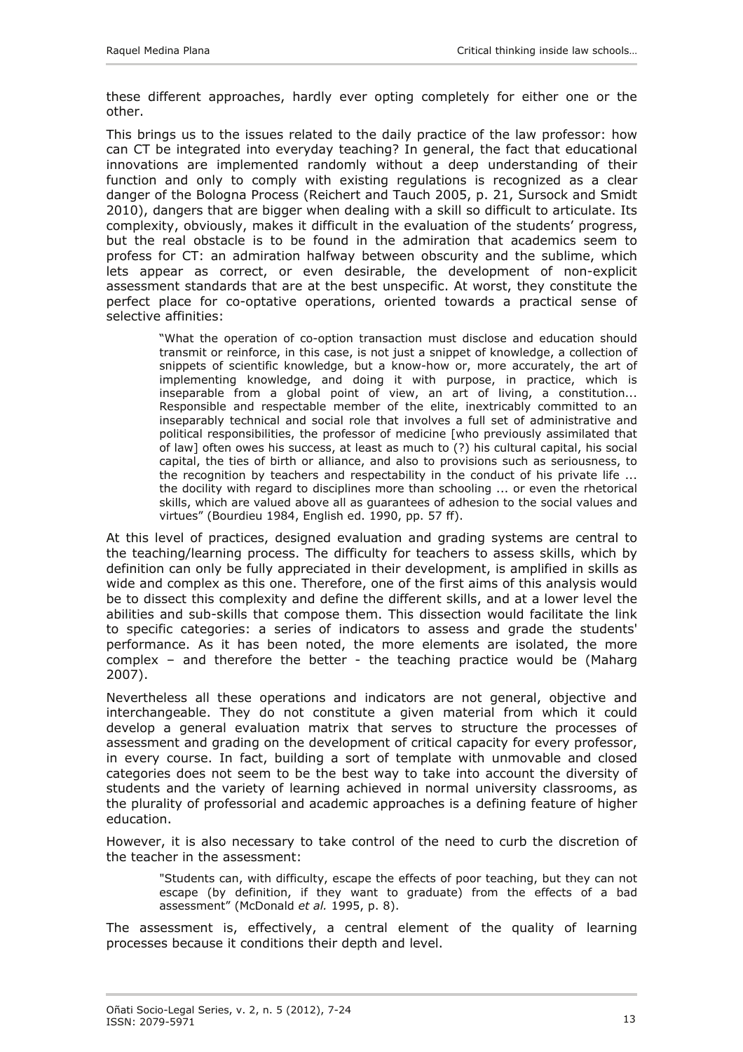these different approaches, hardly ever opting completely for either one or the other.

This brings us to the issues related to the daily practice of the law professor: how can CT be integrated into everyday teaching? In general, the fact that educational innovations are implemented randomly without a deep understanding of their function and only to comply with existing regulations is recognized as a clear danger of the Bologna Process (Reichert and Tauch 2005, p. 21, Sursock and Smidt 2010), dangers that are bigger when dealing with a skill so difficult to articulate. Its complexity, obviously, makes it difficult in the evaluation of the students' progress, but the real obstacle is to be found in the admiration that academics seem to profess for CT: an admiration halfway between obscurity and the sublime, which lets appear as correct, or even desirable, the development of non-explicit assessment standards that are at the best unspecific. At worst, they constitute the perfect place for co-optative operations, oriented towards a practical sense of selective affinities:

"What the operation of co-option transaction must disclose and education should transmit or reinforce, in this case, is not just a snippet of knowledge, a collection of snippets of scientific knowledge, but a know-how or, more accurately, the art of implementing knowledge, and doing it with purpose, in practice, which is inseparable from a global point of view, an art of living, a constitution... Responsible and respectable member of the elite, inextricably committed to an inseparably technical and social role that involves a full set of administrative and political responsibilities, the professor of medicine [who previously assimilated that of law] often owes his success, at least as much to (?) his cultural capital, his social capital, the ties of birth or alliance, and also to provisions such as seriousness, to the recognition by teachers and respectability in the conduct of his private life ... the docility with regard to disciplines more than schooling ... or even the rhetorical skills, which are valued above all as guarantees of adhesion to the social values and virtues" (Bourdieu 1984, English ed. 1990, pp. 57 ff).

At this level of practices, designed evaluation and grading systems are central to the teaching/learning process. The difficulty for teachers to assess skills, which by definition can only be fully appreciated in their development, is amplified in skills as wide and complex as this one. Therefore, one of the first aims of this analysis would be to dissect this complexity and define the different skills, and at a lower level the abilities and sub-skills that compose them. This dissection would facilitate the link to specific categories: a series of indicators to assess and grade the students' performance. As it has been noted, the more elements are isolated, the more complex – and therefore the better - the teaching practice would be (Maharg 2007).

Nevertheless all these operations and indicators are not general, objective and interchangeable. They do not constitute a given material from which it could develop a general evaluation matrix that serves to structure the processes of assessment and grading on the development of critical capacity for every professor, in every course. In fact, building a sort of template with unmovable and closed categories does not seem to be the best way to take into account the diversity of students and the variety of learning achieved in normal university classrooms, as the plurality of professorial and academic approaches is a defining feature of higher education.

However, it is also necessary to take control of the need to curb the discretion of the teacher in the assessment:

"Students can, with difficulty, escape the effects of poor teaching, but they can not escape (by definition, if they want to graduate) from the effects of a bad assessment" (McDonald *et al.* 1995, p. 8).

The assessment is, effectively, a central element of the quality of learning processes because it conditions their depth and level.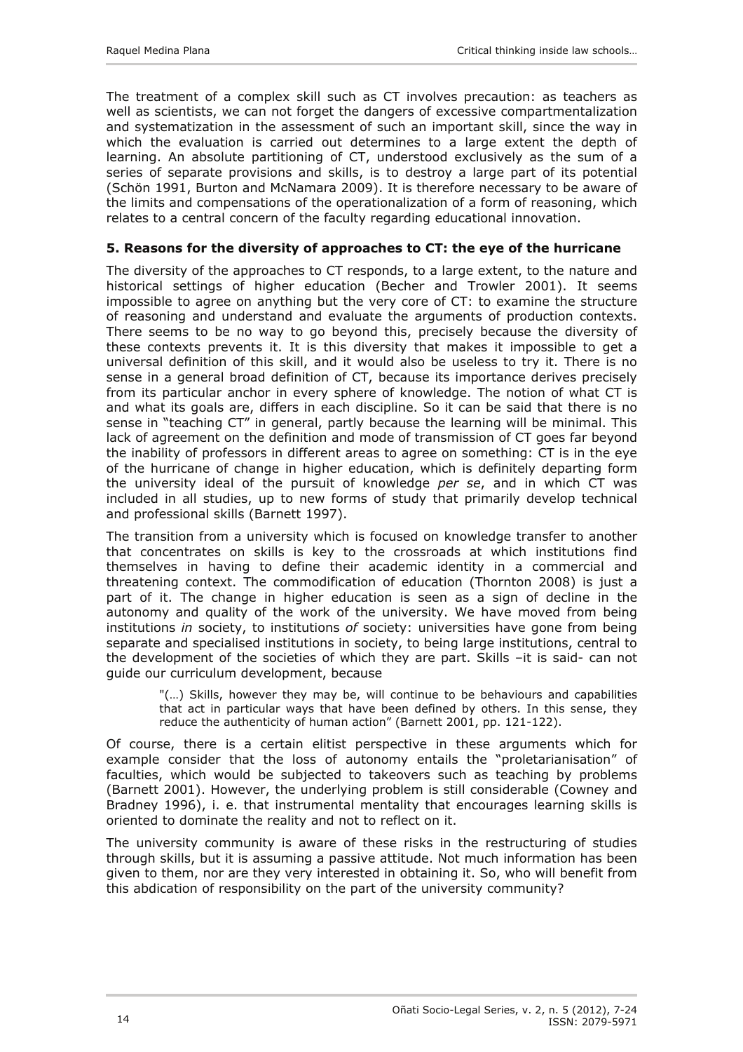<span id="page-7-0"></span>The treatment of a complex skill such as CT involves precaution: as teachers as well as scientists, we can not forget the dangers of excessive compartmentalization and systematization in the assessment of such an important skill, since the way in which the evaluation is carried out determines to a large extent the depth of learning. An absolute partitioning of CT, understood exclusively as the sum of a series of separate provisions and skills, is to destroy a large part of its potential (Schön 1991, Burton and McNamara 2009). It is therefore necessary to be aware of the limits and compensations of the operationalization of a form of reasoning, which relates to a central concern of the faculty regarding educational innovation.

## **5. Reasons for the diversity of approaches to CT: the eye of the hurricane**

The diversity of the approaches to CT responds, to a large extent, to the nature and historical settings of higher education (Becher and Trowler 2001). It seems impossible to agree on anything but the very core of CT: to examine the structure of reasoning and understand and evaluate the arguments of production contexts. There seems to be no way to go beyond this, precisely because the diversity of these contexts prevents it. It is this diversity that makes it impossible to get a universal definition of this skill, and it would also be useless to try it. There is no sense in a general broad definition of CT, because its importance derives precisely from its particular anchor in every sphere of knowledge. The notion of what CT is and what its goals are, differs in each discipline. So it can be said that there is no sense in "teaching CT" in general, partly because the learning will be minimal. This lack of agreement on the definition and mode of transmission of CT goes far beyond the inability of professors in different areas to agree on something: CT is in the eye of the hurricane of change in higher education, which is definitely departing form the university ideal of the pursuit of knowledge *per se*, and in which CT was included in all studies, up to new forms of study that primarily develop technical and professional skills (Barnett 1997).

The transition from a university which is focused on knowledge transfer to another that concentrates on skills is key to the crossroads at which institutions find themselves in having to define their academic identity in a commercial and threatening context. The commodification of education (Thornton 2008) is just a part of it. The change in higher education is seen as a sign of decline in the autonomy and quality of the work of the university. We have moved from being institutions *in* society, to institutions *of* society: universities have gone from being separate and specialised institutions in society, to being large institutions, central to the development of the societies of which they are part. Skills –it is said- can not guide our curriculum development, because

"(…) Skills, however they may be, will continue to be behaviours and capabilities that act in particular ways that have been defined by others. In this sense, they reduce the authenticity of human action" (Barnett 2001, pp. 121-122).

Of course, there is a certain elitist perspective in these arguments which for example consider that the loss of autonomy entails the "proletarianisation" of faculties, which would be subjected to takeovers such as teaching by problems (Barnett 2001). However, the underlying problem is still considerable (Cowney and Bradney 1996), i. e. that instrumental mentality that encourages learning skills is oriented to dominate the reality and not to reflect on it.

The university community is aware of these risks in the restructuring of studies through skills, but it is assuming a passive attitude. Not much information has been given to them, nor are they very interested in obtaining it. So, who will benefit from this abdication of responsibility on the part of the university community?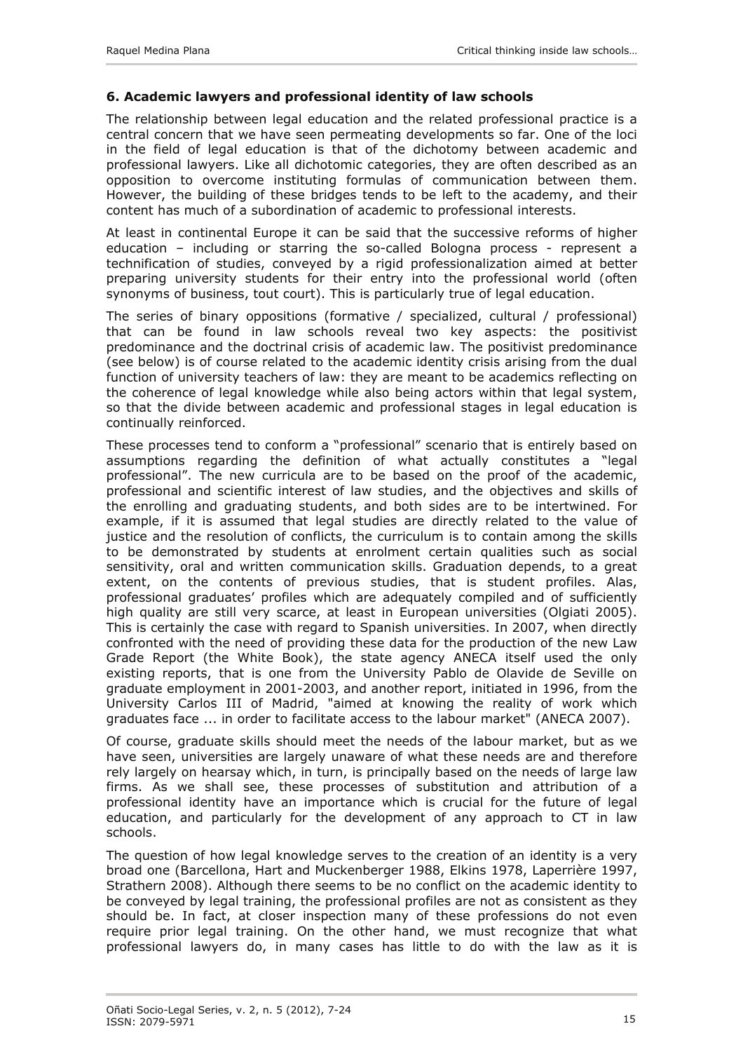# <span id="page-8-0"></span>**6. Academic lawyers and professional identity of law schools**

The relationship between legal education and the related professional practice is a central concern that we have seen permeating developments so far. One of the loci in the field of legal education is that of the dichotomy between academic and professional lawyers. Like all dichotomic categories, they are often described as an opposition to overcome instituting formulas of communication between them. However, the building of these bridges tends to be left to the academy, and their content has much of a subordination of academic to professional interests.

At least in continental Europe it can be said that the successive reforms of higher education – including or starring the so-called Bologna process - represent a technification of studies, conveyed by a rigid professionalization aimed at better preparing university students for their entry into the professional world (often synonyms of business, tout court). This is particularly true of legal education.

The series of binary oppositions (formative / specialized, cultural / professional) that can be found in law schools reveal two key aspects: the positivist predominance and the doctrinal crisis of academic law. The positivist predominance (see below) is of course related to the academic identity crisis arising from the dual function of university teachers of law: they are meant to be academics reflecting on the coherence of legal knowledge while also being actors within that legal system, so that the divide between academic and professional stages in legal education is continually reinforced.

These processes tend to conform a "professional" scenario that is entirely based on assumptions regarding the definition of what actually constitutes a "legal professional". The new curricula are to be based on the proof of the academic, professional and scientific interest of law studies, and the objectives and skills of the enrolling and graduating students, and both sides are to be intertwined. For example, if it is assumed that legal studies are directly related to the value of justice and the resolution of conflicts, the curriculum is to contain among the skills to be demonstrated by students at enrolment certain qualities such as social sensitivity, oral and written communication skills. Graduation depends, to a great extent, on the contents of previous studies, that is student profiles. Alas, professional graduates' profiles which are adequately compiled and of sufficiently high quality are still very scarce, at least in European universities (Olgiati 2005). This is certainly the case with regard to Spanish universities. In 2007, when directly confronted with the need of providing these data for the production of the new Law Grade Report (the White Book), the state agency ANECA itself used the only existing reports, that is one from the University Pablo de Olavide de Seville on graduate employment in 2001-2003, and another report, initiated in 1996, from the University Carlos III of Madrid, "aimed at knowing the reality of work which graduates face ... in order to facilitate access to the labour market" (ANECA 2007).

Of course, graduate skills should meet the needs of the labour market, but as we have seen, universities are largely unaware of what these needs are and therefore rely largely on hearsay which, in turn, is principally based on the needs of large law firms. As we shall see, these processes of substitution and attribution of a professional identity have an importance which is crucial for the future of legal education, and particularly for the development of any approach to CT in law schools.

The question of how legal knowledge serves to the creation of an identity is a very broad one (Barcellona, Hart and Muckenberger 1988, Elkins 1978, Laperrière 1997, Strathern 2008). Although there seems to be no conflict on the academic identity to be conveyed by legal training, the professional profiles are not as consistent as they should be. In fact, at closer inspection many of these professions do not even require prior legal training. On the other hand, we must recognize that what professional lawyers do, in many cases has little to do with the law as it is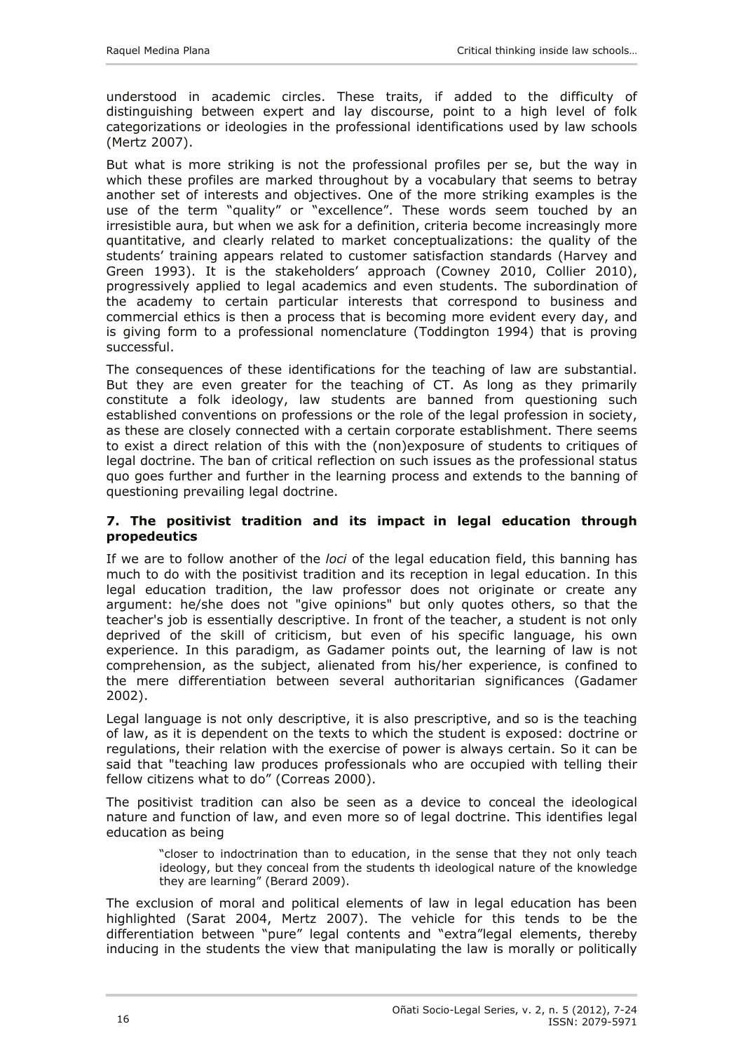<span id="page-9-0"></span>understood in academic circles. These traits, if added to the difficulty of distinguishing between expert and lay discourse, point to a high level of folk categorizations or ideologies in the professional identifications used by law schools (Mertz 2007).

But what is more striking is not the professional profiles per se, but the way in which these profiles are marked throughout by a vocabulary that seems to betray another set of interests and objectives. One of the more striking examples is the use of the term "quality" or "excellence". These words seem touched by an irresistible aura, but when we ask for a definition, criteria become increasingly more quantitative, and clearly related to market conceptualizations: the quality of the students' training appears related to customer satisfaction standards (Harvey and Green 1993). It is the stakeholders' approach (Cowney 2010, Collier 2010), progressively applied to legal academics and even students. The subordination of the academy to certain particular interests that correspond to business and commercial ethics is then a process that is becoming more evident every day, and is giving form to a professional nomenclature (Toddington 1994) that is proving successful.

The consequences of these identifications for the teaching of law are substantial. But they are even greater for the teaching of CT. As long as they primarily constitute a folk ideology, law students are banned from questioning such established conventions on professions or the role of the legal profession in society, as these are closely connected with a certain corporate establishment. There seems to exist a direct relation of this with the (non)exposure of students to critiques of legal doctrine. The ban of critical reflection on such issues as the professional status quo goes further and further in the learning process and extends to the banning of questioning prevailing legal doctrine.

#### **7. The positivist tradition and its impact in legal education through propedeutics**

If we are to follow another of the *loci* of the legal education field, this banning has much to do with the positivist tradition and its reception in legal education. In this legal education tradition, the law professor does not originate or create any argument: he/she does not "give opinions" but only quotes others, so that the teacher's job is essentially descriptive. In front of the teacher, a student is not only deprived of the skill of criticism, but even of his specific language, his own experience. In this paradigm, as Gadamer points out, the learning of law is not comprehension, as the subject, alienated from his/her experience, is confined to the mere differentiation between several authoritarian significances (Gadamer 2002).

Legal language is not only descriptive, it is also prescriptive, and so is the teaching of law, as it is dependent on the texts to which the student is exposed: doctrine or regulations, their relation with the exercise of power is always certain. So it can be said that "teaching law produces professionals who are occupied with telling their fellow citizens what to do" (Correas 2000).

The positivist tradition can also be seen as a device to conceal the ideological nature and function of law, and even more so of legal doctrine. This identifies legal education as being

"closer to indoctrination than to education, in the sense that they not only teach ideology, but they conceal from the students th ideological nature of the knowledge they are learning" (Berard 2009).

The exclusion of moral and political elements of law in legal education has been highlighted (Sarat 2004, Mertz 2007). The vehicle for this tends to be the differentiation between "pure" legal contents and "extra"legal elements, thereby inducing in the students the view that manipulating the law is morally or politically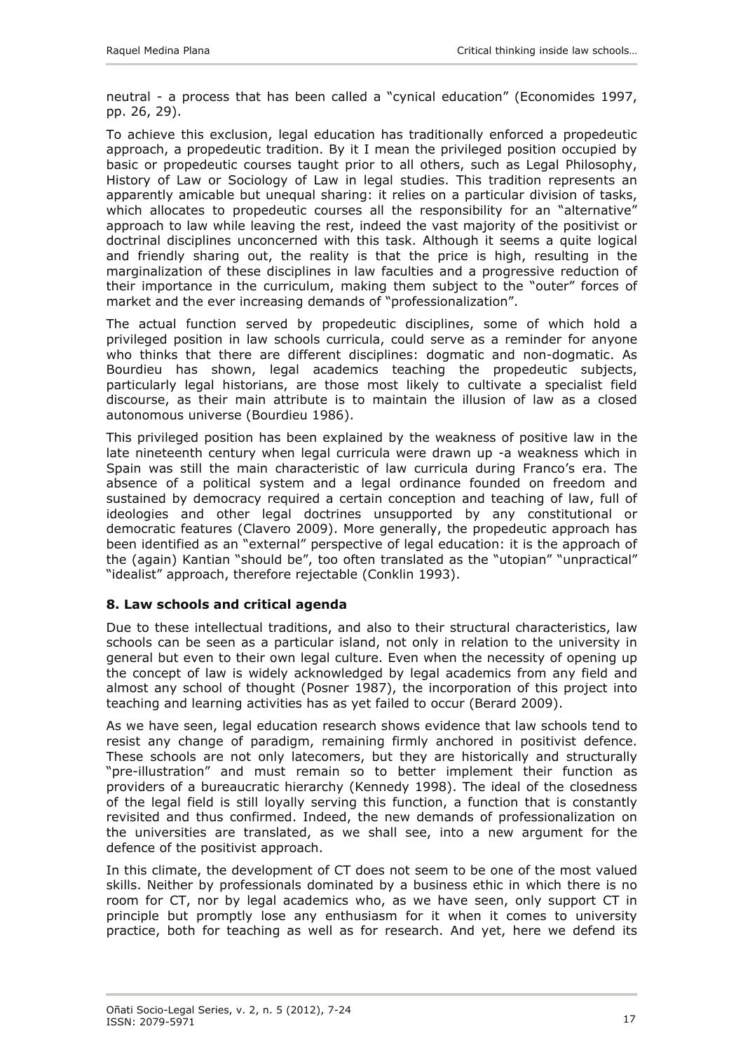<span id="page-10-0"></span>neutral - a process that has been called a "cynical education" (Economides 1997, pp. 26, 29).

To achieve this exclusion, legal education has traditionally enforced a propedeutic approach, a propedeutic tradition. By it I mean the privileged position occupied by basic or propedeutic courses taught prior to all others, such as Legal Philosophy, History of Law or Sociology of Law in legal studies. This tradition represents an apparently amicable but unequal sharing: it relies on a particular division of tasks, which allocates to propedeutic courses all the responsibility for an "alternative" approach to law while leaving the rest, indeed the vast majority of the positivist or doctrinal disciplines unconcerned with this task. Although it seems a quite logical and friendly sharing out, the reality is that the price is high, resulting in the marginalization of these disciplines in law faculties and a progressive reduction of their importance in the curriculum, making them subject to the "outer" forces of market and the ever increasing demands of "professionalization".

The actual function served by propedeutic disciplines, some of which hold a privileged position in law schools curricula, could serve as a reminder for anyone who thinks that there are different disciplines: dogmatic and non-dogmatic. As Bourdieu has shown, legal academics teaching the propedeutic subjects, particularly legal historians, are those most likely to cultivate a specialist field discourse, as their main attribute is to maintain the illusion of law as a closed autonomous universe (Bourdieu 1986).

This privileged position has been explained by the weakness of positive law in the late nineteenth century when legal curricula were drawn up -a weakness which in Spain was still the main characteristic of law curricula during Franco's era. The absence of a political system and a legal ordinance founded on freedom and sustained by democracy required a certain conception and teaching of law, full of ideologies and other legal doctrines unsupported by any constitutional or democratic features (Clavero 2009). More generally, the propedeutic approach has been identified as an "external" perspective of legal education: it is the approach of the (again) Kantian "should be", too often translated as the "utopian" "unpractical" "idealist" approach, therefore rejectable (Conklin 1993).

## **8. Law schools and critical agenda**

Due to these intellectual traditions, and also to their structural characteristics, law schools can be seen as a particular island, not only in relation to the university in general but even to their own legal culture. Even when the necessity of opening up the concept of law is widely acknowledged by legal academics from any field and almost any school of thought (Posner 1987), the incorporation of this project into teaching and learning activities has as yet failed to occur (Berard 2009).

As we have seen, legal education research shows evidence that law schools tend to resist any change of paradigm, remaining firmly anchored in positivist defence. These schools are not only latecomers, but they are historically and structurally "pre-illustration" and must remain so to better implement their function as providers of a bureaucratic hierarchy (Kennedy 1998). The ideal of the closedness of the legal field is still loyally serving this function, a function that is constantly revisited and thus confirmed. Indeed, the new demands of professionalization on the universities are translated, as we shall see, into a new argument for the defence of the positivist approach.

In this climate, the development of CT does not seem to be one of the most valued skills. Neither by professionals dominated by a business ethic in which there is no room for CT, nor by legal academics who, as we have seen, only support CT in principle but promptly lose any enthusiasm for it when it comes to university practice, both for teaching as well as for research. And yet, here we defend its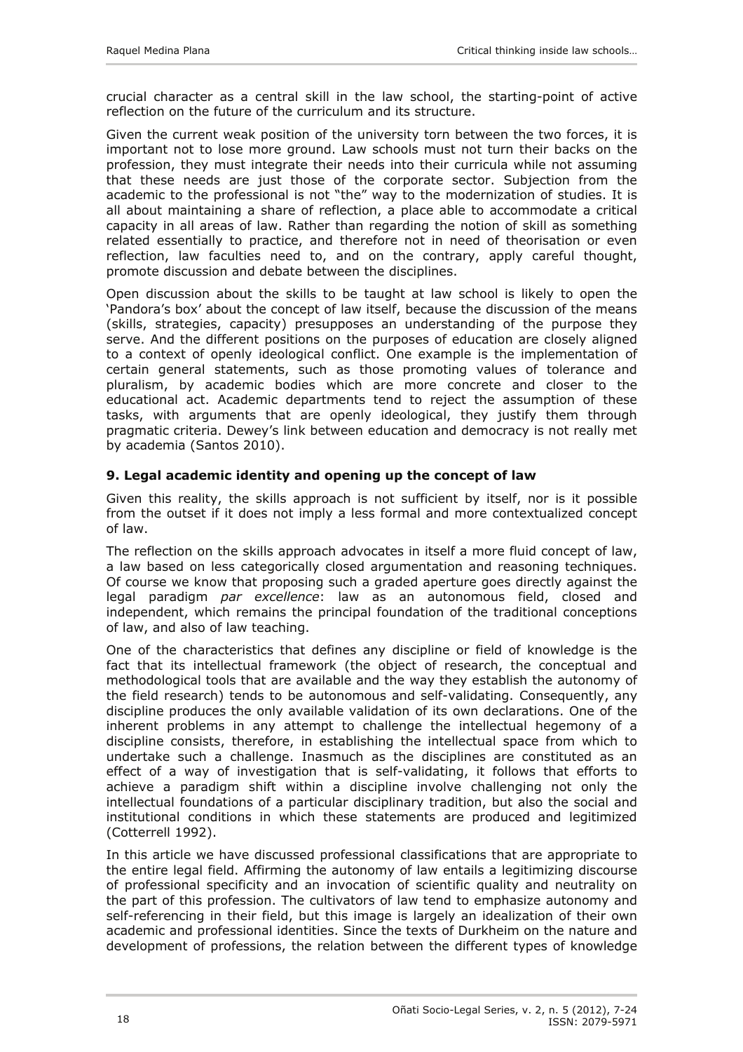<span id="page-11-0"></span>crucial character as a central skill in the law school, the starting-point of active reflection on the future of the curriculum and its structure.

Given the current weak position of the university torn between the two forces, it is important not to lose more ground. Law schools must not turn their backs on the profession, they must integrate their needs into their curricula while not assuming that these needs are just those of the corporate sector. Subjection from the academic to the professional is not "the" way to the modernization of studies. It is all about maintaining a share of reflection, a place able to accommodate a critical capacity in all areas of law. Rather than regarding the notion of skill as something related essentially to practice, and therefore not in need of theorisation or even reflection, law faculties need to, and on the contrary, apply careful thought, promote discussion and debate between the disciplines.

Open discussion about the skills to be taught at law school is likely to open the 'Pandora's box' about the concept of law itself, because the discussion of the means (skills, strategies, capacity) presupposes an understanding of the purpose they serve. And the different positions on the purposes of education are closely aligned to a context of openly ideological conflict. One example is the implementation of certain general statements, such as those promoting values of tolerance and pluralism, by academic bodies which are more concrete and closer to the educational act. Academic departments tend to reject the assumption of these tasks, with arguments that are openly ideological, they justify them through pragmatic criteria. Dewey's link between education and democracy is not really met by academia (Santos 2010).

# **9. Legal academic identity and opening up the concept of law**

Given this reality, the skills approach is not sufficient by itself, nor is it possible from the outset if it does not imply a less formal and more contextualized concept of law.

The reflection on the skills approach advocates in itself a more fluid concept of law, a law based on less categorically closed argumentation and reasoning techniques. Of course we know that proposing such a graded aperture goes directly against the legal paradigm *par excellence*: law as an autonomous field, closed and independent, which remains the principal foundation of the traditional conceptions of law, and also of law teaching.

One of the characteristics that defines any discipline or field of knowledge is the fact that its intellectual framework (the object of research, the conceptual and methodological tools that are available and the way they establish the autonomy of the field research) tends to be autonomous and self-validating. Consequently, any discipline produces the only available validation of its own declarations. One of the inherent problems in any attempt to challenge the intellectual hegemony of a discipline consists, therefore, in establishing the intellectual space from which to undertake such a challenge. Inasmuch as the disciplines are constituted as an effect of a way of investigation that is self-validating, it follows that efforts to achieve a paradigm shift within a discipline involve challenging not only the intellectual foundations of a particular disciplinary tradition, but also the social and institutional conditions in which these statements are produced and legitimized (Cotterrell 1992).

In this article we have discussed professional classifications that are appropriate to the entire legal field. Affirming the autonomy of law entails a legitimizing discourse of professional specificity and an invocation of scientific quality and neutrality on the part of this profession. The cultivators of law tend to emphasize autonomy and self-referencing in their field, but this image is largely an idealization of their own academic and professional identities. Since the texts of Durkheim on the nature and development of professions, the relation between the different types of knowledge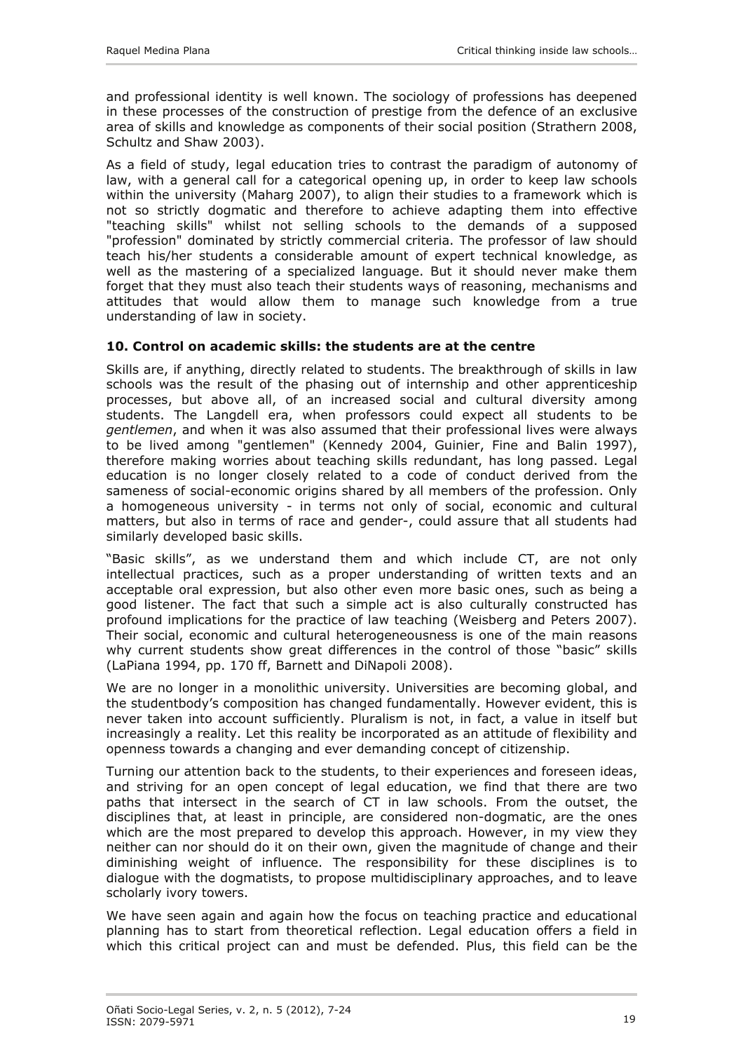<span id="page-12-0"></span>and professional identity is well known. The sociology of professions has deepened in these processes of the construction of prestige from the defence of an exclusive area of skills and knowledge as components of their social position (Strathern 2008, Schultz and Shaw 2003).

As a field of study, legal education tries to contrast the paradigm of autonomy of law, with a general call for a categorical opening up, in order to keep law schools within the university (Maharg 2007), to align their studies to a framework which is not so strictly dogmatic and therefore to achieve adapting them into effective "teaching skills" whilst not selling schools to the demands of a supposed "profession" dominated by strictly commercial criteria. The professor of law should teach his/her students a considerable amount of expert technical knowledge, as well as the mastering of a specialized language. But it should never make them forget that they must also teach their students ways of reasoning, mechanisms and attitudes that would allow them to manage such knowledge from a true understanding of law in society.

## **10. Control on academic skills: the students are at the centre**

Skills are, if anything, directly related to students. The breakthrough of skills in law schools was the result of the phasing out of internship and other apprenticeship processes, but above all, of an increased social and cultural diversity among students. The Langdell era, when professors could expect all students to be *gentlemen*, and when it was also assumed that their professional lives were always to be lived among "gentlemen" (Kennedy 2004, Guinier, Fine and Balin 1997), therefore making worries about teaching skills redundant, has long passed. Legal education is no longer closely related to a code of conduct derived from the sameness of social-economic origins shared by all members of the profession. Only a homogeneous university - in terms not only of social, economic and cultural matters, but also in terms of race and gender-, could assure that all students had similarly developed basic skills.

"Basic skills", as we understand them and which include CT, are not only intellectual practices, such as a proper understanding of written texts and an acceptable oral expression, but also other even more basic ones, such as being a good listener. The fact that such a simple act is also culturally constructed has profound implications for the practice of law teaching (Weisberg and Peters 2007). Their social, economic and cultural heterogeneousness is one of the main reasons why current students show great differences in the control of those "basic" skills (LaPiana 1994, pp. 170 ff, Barnett and DiNapoli 2008).

We are no longer in a monolithic university. Universities are becoming global, and the studentbody's composition has changed fundamentally. However evident, this is never taken into account sufficiently. Pluralism is not, in fact, a value in itself but increasingly a reality. Let this reality be incorporated as an attitude of flexibility and openness towards a changing and ever demanding concept of citizenship.

Turning our attention back to the students, to their experiences and foreseen ideas, and striving for an open concept of legal education, we find that there are two paths that intersect in the search of CT in law schools. From the outset, the disciplines that, at least in principle, are considered non-dogmatic, are the ones which are the most prepared to develop this approach. However, in my view they neither can nor should do it on their own, given the magnitude of change and their diminishing weight of influence. The responsibility for these disciplines is to dialogue with the dogmatists, to propose multidisciplinary approaches, and to leave scholarly ivory towers.

We have seen again and again how the focus on teaching practice and educational planning has to start from theoretical reflection. Legal education offers a field in which this critical project can and must be defended. Plus, this field can be the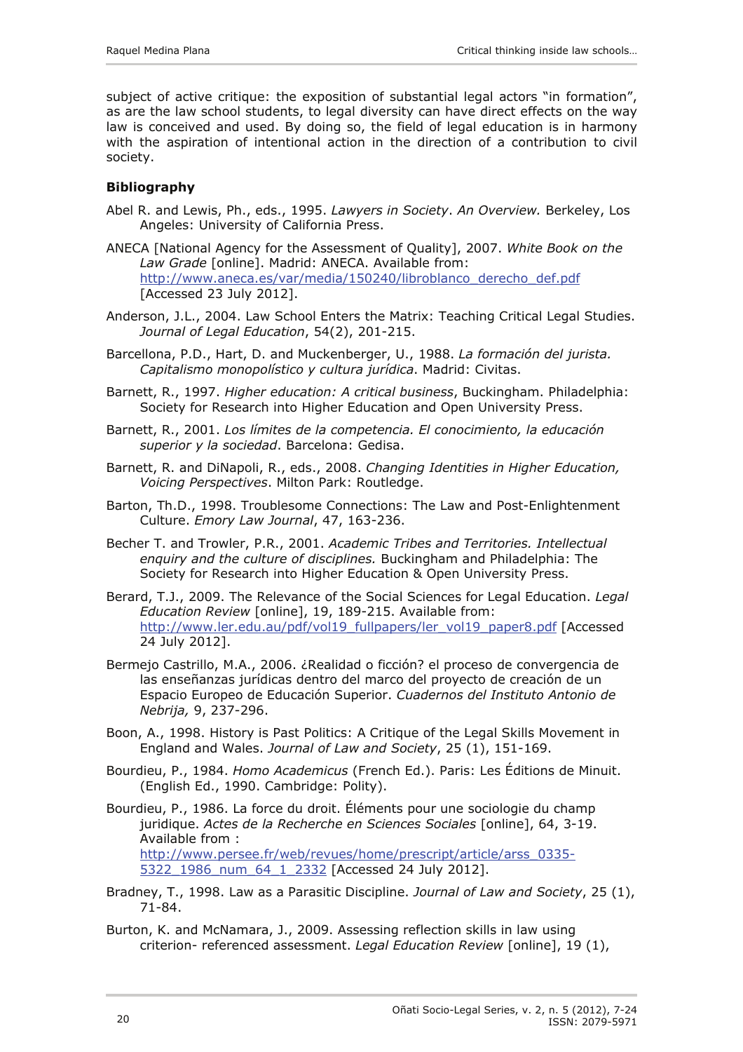<span id="page-13-0"></span>subject of active critique: the exposition of substantial legal actors "in formation", as are the law school students, to legal diversity can have direct effects on the way law is conceived and used. By doing so, the field of legal education is in harmony with the aspiration of intentional action in the direction of a contribution to civil society.

## **Bibliography**

- Abel R. and Lewis, Ph., eds., 1995. *Lawyers in Society*. *An Overview.* Berkeley, Los Angeles: University of California Press.
- ANECA [National Agency for the Assessment of Quality], 2007. *White Book on the Law Grade* [online]. Madrid: ANECA. Available from: [http://www.aneca.es/var/media/150240/libroblanco\\_derecho\\_def.pdf](http://www.aneca.es/var/media/150240/libroblanco_derecho_def.pdf) [Accessed 23 July 2012].
- Anderson, J.L., 2004. Law School Enters the Matrix: Teaching Critical Legal Studies. *Journal of Legal Education*, 54(2), 201-215.
- Barcellona, P.D., Hart, D. and Muckenberger, U., 1988. *La formación del jurista. Capitalismo monopolístico y cultura jurídica*. Madrid: Civitas.
- Barnett, R., 1997. *Higher education: A critical business*, Buckingham. Philadelphia: Society for Research into Higher Education and Open University Press.
- Barnett, R., 2001. *Los límites de la competencia. El conocimiento, la educación superior y la sociedad*. Barcelona: Gedisa.
- Barnett, R. and DiNapoli, R., eds., 2008. *Changing Identities in Higher Education, Voicing Perspectives*. Milton Park: Routledge.
- Barton, Th.D., 1998. Troublesome Connections: The Law and Post-Enlightenment Culture. *Emory Law Journal*, 47, 163-236.
- Becher T. and Trowler, P.R., 2001. *Academic Tribes and Territories. Intellectual enquiry and the culture of disciplines.* Buckingham and Philadelphia: The Society for Research into Higher Education & Open University Press.
- Berard, T.J., 2009. The Relevance of the Social Sciences for Legal Education. *Legal Education Review* [online], 19, 189-215. Available from: [http://www.ler.edu.au/pdf/vol19\\_fullpapers/ler\\_vol19\\_paper8.pdf](http://www.ler.edu.au/pdf/vol19_fullpapers/ler_vol19_paper8.pdf) [Accessed 24 July 2012].
- Bermejo Castrillo, M.A., 2006. ¿Realidad o ficción? el proceso de convergencia de las enseñanzas jurídicas dentro del marco del proyecto de creación de un Espacio Europeo de Educación Superior. *Cuadernos del Instituto Antonio de Nebrija,* 9, 237-296.
- Boon, A., 1998. History is Past Politics: A Critique of the Legal Skills Movement in England and Wales. *Journal of Law and Society*, 25 (1), 151-169.
- Bourdieu, P., 1984. *Homo Academicus* (French Ed.). Paris: Les Éditions de Minuit. (English Ed., 1990. Cambridge: Polity).
- Bourdieu, P., 1986. La force du droit. Éléments pour une sociologie du champ juridique. *Actes de la Recherche en Sciences Sociales* [online], 64, 3-19. Available from : [http://www.persee.fr/web/revues/home/prescript/article/arss\\_0335-](http://www.persee.fr/web/revues/home/prescript/article/arss_0335-5322_1986_num_64_1_2332) [5322\\_1986\\_num\\_64\\_1\\_2332](http://www.persee.fr/web/revues/home/prescript/article/arss_0335-5322_1986_num_64_1_2332) [Accessed 24 July 2012].
- Bradney, T., 1998. Law as a Parasitic Discipline. *Journal of Law and Society*, 25 (1), 71-84.
- Burton, K. and McNamara, J., 2009. Assessing reflection skills in law using criterion- referenced assessment. *Legal Education Review* [online], 19 (1),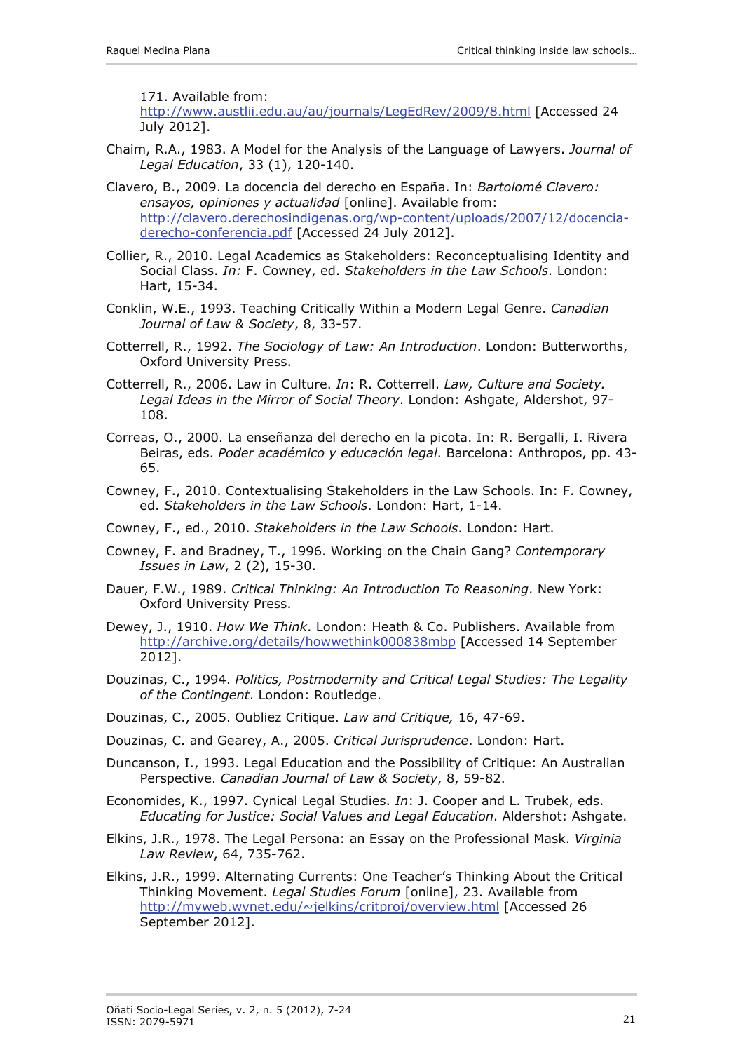171. Available from:

<http://www.austlii.edu.au/au/journals/LegEdRev/2009/8.html>[Accessed 24 July 2012].

- Chaim, R.A., 1983. A Model for the Analysis of the Language of Lawyers. *Journal of Legal Education*, 33 (1), 120-140.
- Clavero, B., 2009. La docencia del derecho en España. In: *Bartolomé Clavero: ensayos, opiniones y actualidad* [online]. Available from: [http://clavero.derechosindigenas.org/wp-content/uploads/2007/12/docencia](http://clavero.derechosindigenas.org/wp-content/uploads/2007/12/docencia-derecho-conferencia.pdf)[derecho-conferencia.pdf](http://clavero.derechosindigenas.org/wp-content/uploads/2007/12/docencia-derecho-conferencia.pdf) [Accessed 24 July 2012].
- Collier, R., 2010. Legal Academics as Stakeholders: Reconceptualising Identity and Social Class. *In:* F. Cowney, ed. *Stakeholders in the Law Schools*. London: Hart, 15-34.
- Conklin, W.E., 1993. Teaching Critically Within a Modern Legal Genre. *Canadian Journal of Law & Society*, 8, 33-57.
- Cotterrell, R., 1992. *The Sociology of Law: An Introduction*. London: Butterworths, Oxford University Press.
- Cotterrell, R., 2006. Law in Culture. *In*: R. Cotterrell. *Law, Culture and Society. Legal Ideas in the Mirror of Social Theory*. London: Ashgate, Aldershot, 97- 108.
- Correas, O., 2000. La enseñanza del derecho en la picota. In: R. Bergalli, I. Rivera Beiras, eds. *Poder académico y educación legal*. Barcelona: Anthropos, pp. 43- 65.
- Cowney, F., 2010. Contextualising Stakeholders in the Law Schools. In: F. Cowney, ed. *Stakeholders in the Law Schools*. London: Hart, 1-14.
- Cowney, F., ed., 2010. *Stakeholders in the Law Schools*. London: Hart.
- Cowney, F. and Bradney, T., 1996. Working on the Chain Gang? *Contemporary Issues in Law*, 2 (2), 15-30.
- Dauer, F.W., 1989. *Critical Thinking: An Introduction To Reasoning*. New York: Oxford University Press.
- Dewey, J., 1910. *How We Think*. London: Heath & Co. Publishers. Available from <http://archive.org/details/howwethink000838mbp>[Accessed 14 September 2012].
- Douzinas, C., 1994. *Politics, Postmodernity and Critical Legal Studies: The Legality of the Contingent*. London: Routledge.
- Douzinas, C., 2005. Oubliez Critique. *Law and Critique,* 16, 47-69.
- Douzinas, C. and Gearey, A., 2005. *Critical Jurisprudence*. London: Hart.
- Duncanson, I., 1993. Legal Education and the Possibility of Critique: An Australian Perspective. *Canadian Journal of Law & Society*, 8, 59-82.
- Economides, K., 1997. Cynical Legal Studies. *In*: J. Cooper and L. Trubek, eds. *Educating for Justice: Social Values and Legal Education*. Aldershot: Ashgate.
- Elkins, J.R., 1978. The Legal Persona: an Essay on the Professional Mask. *Virginia Law Review*, 64, 735-762.
- Elkins, J.R., 1999. Alternating Currents: One Teacher's Thinking About the Critical Thinking Movement. *Legal Studies Forum* [online], 23. Available from [http://myweb.wvnet.edu/~jelkins/critproj/overview.html](http://myweb.wvnet.edu/%7Ejelkins/critproj/overview.html) [Accessed 26 September 2012].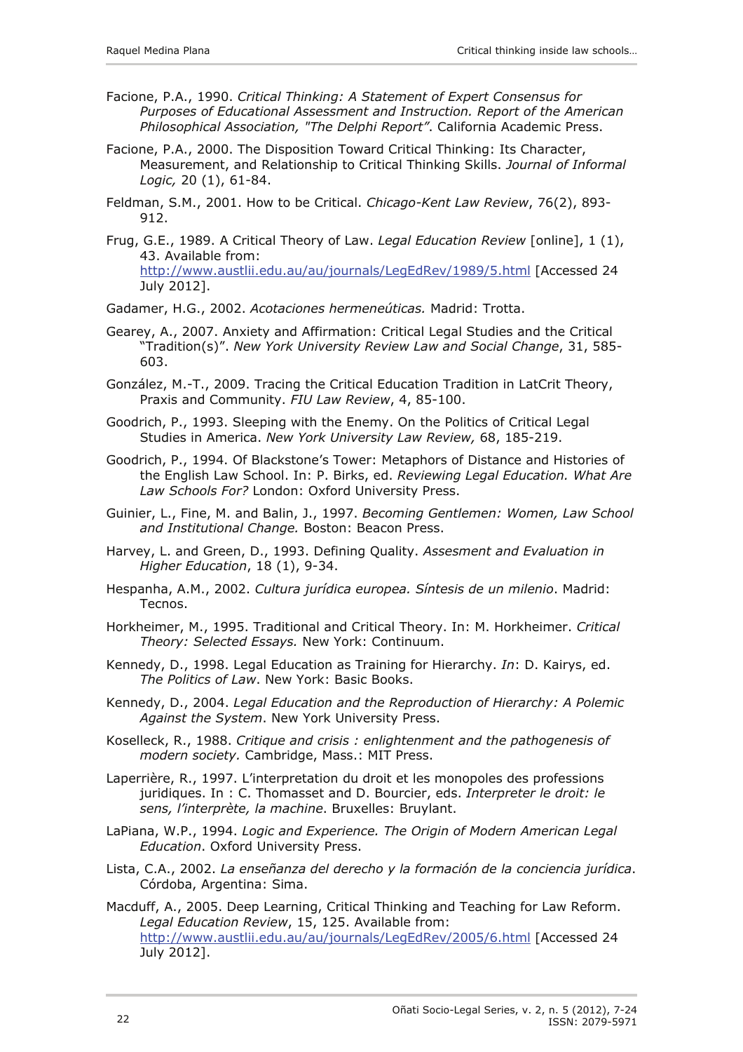- Facione, P.A., 1990. *Critical Thinking: A Statement of Expert Consensus for Purposes of Educational Assessment and Instruction. Report of the American Philosophical Association, "The Delphi Report"*. California Academic Press.
- Facione, P.A., 2000. The Disposition Toward Critical Thinking: Its Character, Measurement, and Relationship to Critical Thinking Skills. *Journal of Informal Logic,* 20 (1), 61-84.
- Feldman, S.M., 2001. How to be Critical. *Chicago-Kent Law Review*, 76(2), 893- 912.
- Frug, G.E., 1989. A Critical Theory of Law. *Legal Education Review* [online], 1 (1), 43. Available from: <http://www.austlii.edu.au/au/journals/LegEdRev/1989/5.html>[Accessed 24 July 2012].
- Gadamer, H.G., 2002. *Acotaciones hermeneúticas.* Madrid: Trotta.
- Gearey, A., 2007. Anxiety and Affirmation: Critical Legal Studies and the Critical "Tradition(s)". *New York University Review Law and Social Change*, 31, 585- 603.
- González, M.-T., 2009. Tracing the Critical Education Tradition in LatCrit Theory, Praxis and Community. *FIU Law Review*, 4, 85-100.
- Goodrich, P., 1993. Sleeping with the Enemy. On the Politics of Critical Legal Studies in America. *New York University Law Review,* 68, 185-219.
- Goodrich, P., 1994. Of Blackstone's Tower: Metaphors of Distance and Histories of the English Law School. In: P. Birks, ed. *Reviewing Legal Education. What Are Law Schools For?* London: Oxford University Press.
- Guinier, L., Fine, M. and Balin, J., 1997. *Becoming Gentlemen: Women, Law School and Institutional Change.* Boston: Beacon Press.
- Harvey, L. and Green, D., 1993. Defining Quality. *Assesment and Evaluation in Higher Education*, 18 (1), 9-34.
- Hespanha, A.M., 2002. *Cultura jurídica europea. Síntesis de un milenio*. Madrid: Tecnos.
- Horkheimer, M., 1995. Traditional and Critical Theory. In: M. Horkheimer. *Critical Theory: Selected Essays.* New York: Continuum.
- Kennedy, D., 1998. Legal Education as Training for Hierarchy. *In*: D. Kairys, ed. *The Politics of Law*. New York: Basic Books.
- Kennedy, D., 2004. *Legal Education and the Reproduction of Hierarchy: A Polemic Against the System*. New York University Press.
- Koselleck, R., 1988. *Critique and crisis : enlightenment and the pathogenesis of modern society.* Cambridge, Mass.: MIT Press.
- Laperrière, R., 1997. L'interpretation du droit et les monopoles des professions juridiques. In : C. Thomasset and D. Bourcier, eds. *Interpreter le droit: le sens, l'interprète, la machine*. Bruxelles: Bruylant.
- LaPiana, W.P., 1994. *Logic and Experience. The Origin of Modern American Legal Education*. Oxford University Press.
- Lista, C.A., 2002. *La enseñanza del derecho y la formación de la conciencia jurídica*. Córdoba, Argentina: Sima.
- Macduff, A., 2005. Deep Learning, Critical Thinking and Teaching for Law Reform. *Legal Education Review*, 15, 125. Available from: <http://www.austlii.edu.au/au/journals/LegEdRev/2005/6.html>[Accessed 24 July 2012].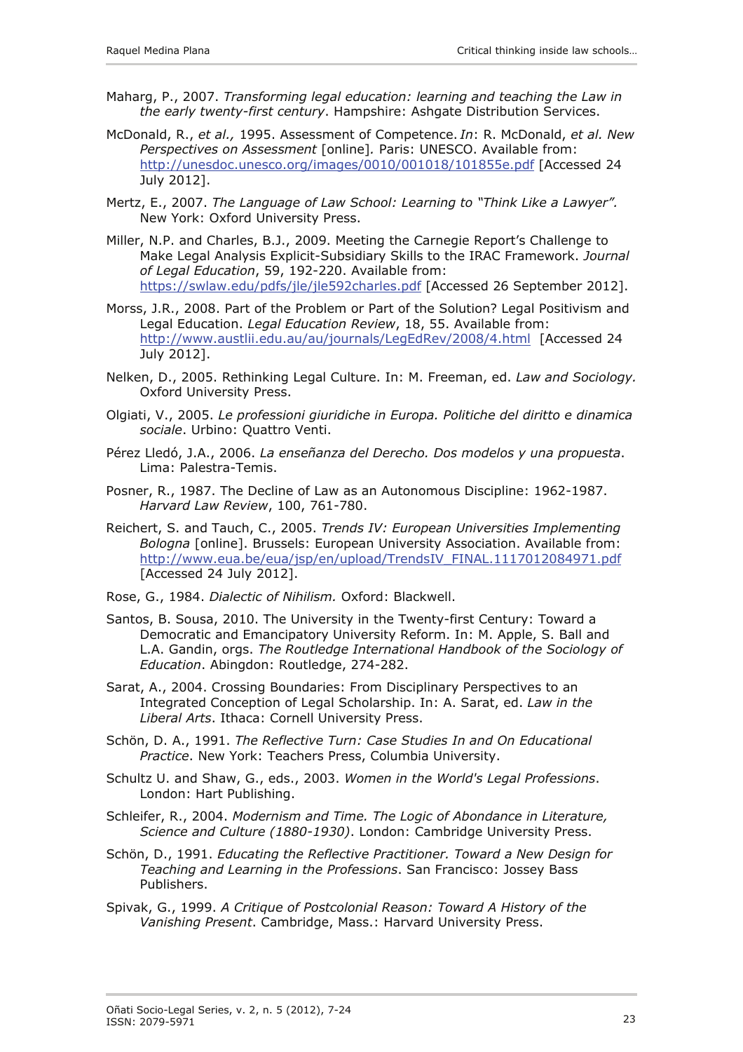- Maharg, P., 2007. *Transforming legal education: learning and teaching the Law in the early twenty-first century*. Hampshire: Ashgate Distribution Services.
- McDonald, R., *et al.,* 1995. Assessment of Competence. *In*: R. McDonald, *et al. New Perspectives on Assessment* [online]*.* Paris: UNESCO. Available from: <http://unesdoc.unesco.org/images/0010/001018/101855e.pdf>[Accessed 24 July 2012].
- Mertz, E., 2007. *The Language of Law School: Learning to "Think Like a Lawyer".*  New York: Oxford University Press.
- Miller, N.P. and Charles, B.J., 2009. Meeting the Carnegie Report's Challenge to Make Legal Analysis Explicit-Subsidiary Skills to the IRAC Framework. *Journal of Legal Education*, 59, 192-220. Available from: <https://swlaw.edu/pdfs/jle/jle592charles.pdf> [Accessed 26 September 2012].
- Morss, J.R., 2008. Part of the Problem or Part of the Solution? Legal Positivism and Legal Education. *Legal Education Review*, 18, 55. Available from: <http://www.austlii.edu.au/au/journals/LegEdRev/2008/4.html>[Accessed 24 July 2012].
- Nelken, D., 2005. Rethinking Legal Culture. In: M. Freeman, ed. *Law and Sociology.*  Oxford University Press.
- Olgiati, V., 2005. *Le professioni giuridiche in Europa. Politiche del diritto e dinamica sociale*. Urbino: Quattro Venti.
- Pérez Lledó, J.A., 2006. *La enseñanza del Derecho. Dos modelos y una propuesta*. Lima: Palestra-Temis.
- Posner, R., 1987. The Decline of Law as an Autonomous Discipline: 1962-1987. *Harvard Law Review*, 100, 761-780.
- Reichert, S. and Tauch, C., 2005. *Trends IV: European Universities Implementing Bologna* [online]. Brussels: European University Association. Available from: [http://www.eua.be/eua/jsp/en/upload/TrendsIV\\_FINAL.1117012084971.pdf](http://www.eua.be/eua/jsp/en/upload/TrendsIV_FINAL.1117012084971.pdf) [Accessed 24 July 2012].
- Rose, G., 1984. *Dialectic of Nihilism.* Oxford: Blackwell.
- Santos, B. Sousa, 2010. The University in the Twenty-first Century: Toward a Democratic and Emancipatory University Reform. In: M. Apple, S. Ball and L.A. Gandin, orgs. *The Routledge International Handbook of the Sociology of Education*. Abingdon: Routledge, 274-282.
- Sarat, A., 2004. Crossing Boundaries: From Disciplinary Perspectives to an Integrated Conception of Legal Scholarship. In: A. Sarat, ed. *Law in the Liberal Arts*. Ithaca: Cornell University Press.
- Schön, D. A., 1991. *The Reflective Turn: Case Studies In and On Educational Practice*. New York: Teachers Press, Columbia University.
- Schultz U. and Shaw, G., eds., 2003. *Women in the World's Legal Professions*. London: Hart Publishing.
- Schleifer, R., 2004. *Modernism and Time. The Logic of Abondance in Literature, Science and Culture (1880-1930)*. London: Cambridge University Press.
- Schön, D., 1991. *Educating the Reflective Practitioner. Toward a New Design for Teaching and Learning in the Professions*. San Francisco: Jossey Bass Publishers.
- Spivak, G., 1999. *A Critique of Postcolonial Reason: Toward A History of the Vanishing Present*. Cambridge, Mass.: Harvard University Press.